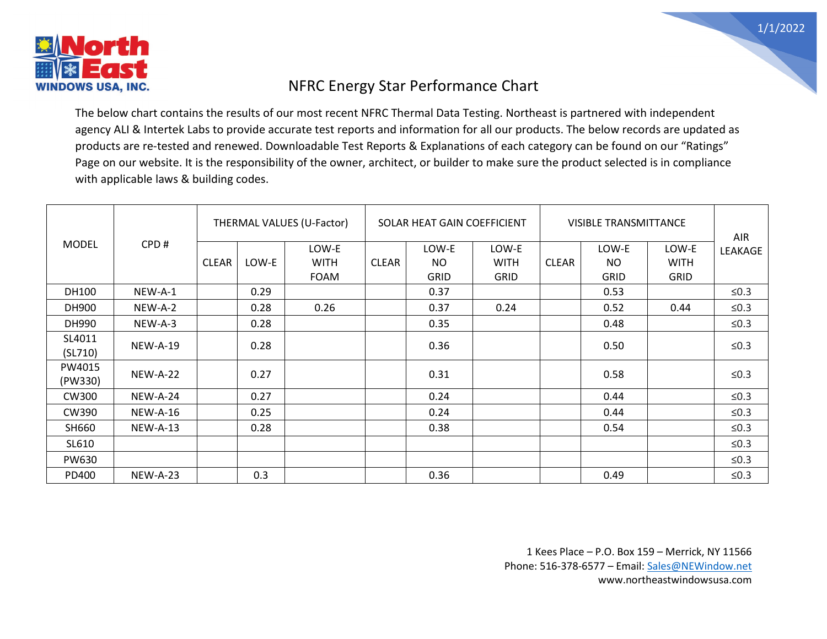

## NFRC Energy Star Performance Chart

The below chart contains the results of our most recent NFRC Thermal Data Testing. Northeast is partnered with independent agency ALI & Intertek Labs to provide accurate test reports and information for all our products. The below records are updated as products are re-tested and renewed. Downloadable Test Reports & Explanations of each category can be found on our "Ratings" Page on our website. It is the responsibility of the owner, architect, or builder to make sure the product selected is in compliance with applicable laws & building codes.

|              |                 |              |       | THERMAL VALUES (U-Factor) |              | SOLAR HEAT GAIN COEFFICIENT |             |              | <b>VISIBLE TRANSMITTANCE</b> |             | AIR     |
|--------------|-----------------|--------------|-------|---------------------------|--------------|-----------------------------|-------------|--------------|------------------------------|-------------|---------|
| <b>MODEL</b> | CPD#            |              |       | LOW-E                     |              | LOW-E                       | LOW-E       |              | LOW-E                        | LOW-E       | LEAKAGE |
|              |                 | <b>CLEAR</b> | LOW-E | <b>WITH</b>               | <b>CLEAR</b> | <b>NO</b>                   | <b>WITH</b> | <b>CLEAR</b> | NO                           | <b>WITH</b> |         |
|              |                 |              |       | <b>FOAM</b>               |              | <b>GRID</b>                 | <b>GRID</b> |              | <b>GRID</b>                  | <b>GRID</b> |         |
| DH100        | NEW-A-1         |              | 0.29  |                           |              | 0.37                        |             |              | 0.53                         |             | $≤0.3$  |
| DH900        | NEW-A-2         |              | 0.28  | 0.26                      |              | 0.37                        | 0.24        |              | 0.52                         | 0.44        | $≤0.3$  |
| DH990        | NEW-A-3         |              | 0.28  |                           |              | 0.35                        |             |              | 0.48                         |             | $≤0.3$  |
| SL4011       | <b>NEW-A-19</b> |              | 0.28  |                           |              | 0.36                        |             |              | 0.50                         |             | $≤0.3$  |
| (SL710)      |                 |              |       |                           |              |                             |             |              |                              |             |         |
| PW4015       | <b>NEW-A-22</b> |              | 0.27  |                           |              | 0.31                        |             |              | 0.58                         |             | $≤0.3$  |
| (PW330)      |                 |              |       |                           |              |                             |             |              |                              |             |         |
| <b>CW300</b> | <b>NEW-A-24</b> |              | 0.27  |                           |              | 0.24                        |             |              | 0.44                         |             | $≤0.3$  |
| CW390        | <b>NEW-A-16</b> |              | 0.25  |                           |              | 0.24                        |             |              | 0.44                         |             | $≤0.3$  |
| SH660        | <b>NEW-A-13</b> |              | 0.28  |                           |              | 0.38                        |             |              | 0.54                         |             | $≤0.3$  |
| SL610        |                 |              |       |                           |              |                             |             |              |                              |             | $≤0.3$  |
| <b>PW630</b> |                 |              |       |                           |              |                             |             |              |                              |             | $≤0.3$  |
| PD400        | <b>NEW-A-23</b> |              | 0.3   |                           |              | 0.36                        |             |              | 0.49                         |             | $≤0.3$  |